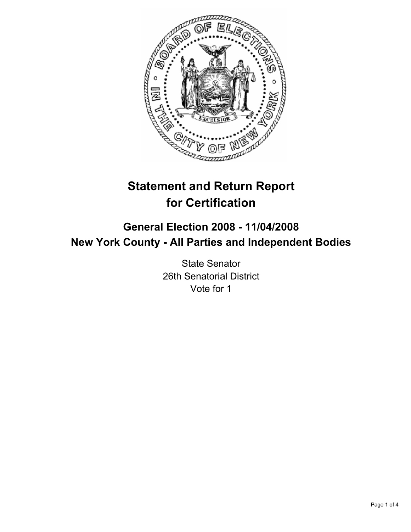

# **Statement and Return Report for Certification**

## **General Election 2008 - 11/04/2008 New York County - All Parties and Independent Bodies**

State Senator 26th Senatorial District Vote for 1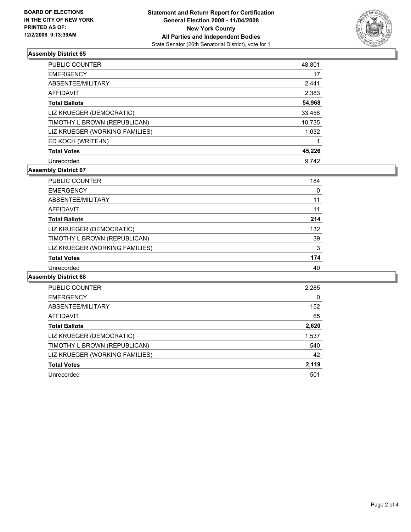

#### **Assembly District 65**

| <b>PUBLIC COUNTER</b>          | 48,801 |
|--------------------------------|--------|
| <b>EMERGENCY</b>               | 17     |
| ABSENTEE/MILITARY              | 2,441  |
| <b>AFFIDAVIT</b>               | 2,383  |
| <b>Total Ballots</b>           | 54,968 |
| LIZ KRUEGER (DEMOCRATIC)       | 33,458 |
| TIMOTHY L BROWN (REPUBLICAN)   | 10,735 |
| LIZ KRUEGER (WORKING FAMILIES) | 1,032  |
| ED KOCH (WRITE-IN)             |        |
| <b>Total Votes</b>             | 45,226 |
| Unrecorded                     | 9.742  |

#### **Assembly District 67**

| PUBLIC COUNTER                 | 184 |
|--------------------------------|-----|
| <b>EMERGENCY</b>               | 0   |
| ABSENTEE/MILITARY              | 11  |
| AFFIDAVIT                      | 11  |
| <b>Total Ballots</b>           | 214 |
| LIZ KRUEGER (DEMOCRATIC)       | 132 |
| TIMOTHY L BROWN (REPUBLICAN)   | 39  |
| LIZ KRUEGER (WORKING FAMILIES) | 3   |
| <b>Total Votes</b>             | 174 |
| Unrecorded                     | 40  |

#### **Assembly District 68**

| PUBLIC COUNTER                 | 2,285 |
|--------------------------------|-------|
| <b>EMERGENCY</b>               | 0     |
| ABSENTEE/MILITARY              | 152   |
| AFFIDAVIT                      | 65    |
| <b>Total Ballots</b>           | 2,620 |
| LIZ KRUEGER (DEMOCRATIC)       | 1,537 |
| TIMOTHY L BROWN (REPUBLICAN)   | 540   |
| LIZ KRUEGER (WORKING FAMILIES) | 42    |
| <b>Total Votes</b>             | 2,119 |
| Unrecorded                     | 501   |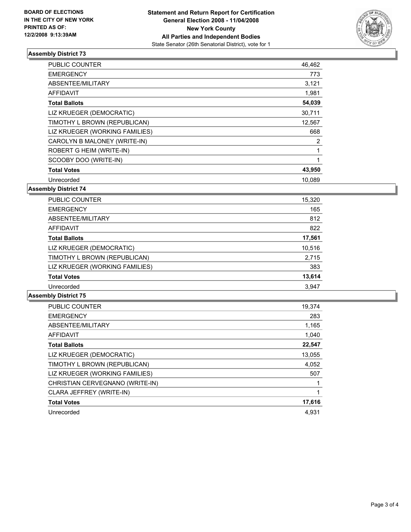

#### **Assembly District 73**

| PUBLIC COUNTER                 | 46,462 |
|--------------------------------|--------|
| <b>EMERGENCY</b>               | 773    |
| ABSENTEE/MILITARY              | 3,121  |
| <b>AFFIDAVIT</b>               | 1,981  |
| <b>Total Ballots</b>           | 54,039 |
| LIZ KRUEGER (DEMOCRATIC)       | 30,711 |
| TIMOTHY L BROWN (REPUBLICAN)   | 12,567 |
| LIZ KRUEGER (WORKING FAMILIES) | 668    |
| CAROLYN B MALONEY (WRITE-IN)   | 2      |
| ROBERT G HEIM (WRITE-IN)       |        |
| SCOOBY DOO (WRITE-IN)          |        |
| <b>Total Votes</b>             | 43,950 |
| Unrecorded                     | 10.089 |

**Assembly District 74**

| <b>PUBLIC COUNTER</b>          | 15,320 |  |
|--------------------------------|--------|--|
| <b>EMERGENCY</b>               | 165    |  |
| ABSENTEE/MILITARY              | 812    |  |
| AFFIDAVIT                      | 822    |  |
| <b>Total Ballots</b>           | 17,561 |  |
| LIZ KRUEGER (DEMOCRATIC)       | 10,516 |  |
| TIMOTHY L BROWN (REPUBLICAN)   | 2,715  |  |
| LIZ KRUEGER (WORKING FAMILIES) | 383    |  |
| <b>Total Votes</b>             | 13,614 |  |
| Unrecorded                     | 3,947  |  |

#### **Assembly District 75**

| PUBLIC COUNTER                  | 19,374 |
|---------------------------------|--------|
| <b>EMERGENCY</b>                | 283    |
| ABSENTEE/MILITARY               | 1,165  |
| AFFIDAVIT                       | 1.040  |
| <b>Total Ballots</b>            | 22,547 |
| LIZ KRUEGER (DEMOCRATIC)        | 13,055 |
| TIMOTHY L BROWN (REPUBLICAN)    | 4,052  |
| LIZ KRUEGER (WORKING FAMILIES)  | 507    |
| CHRISTIAN CERVEGNANO (WRITE-IN) |        |
| CLARA JEFFREY (WRITE-IN)        |        |
| <b>Total Votes</b>              | 17,616 |
| Unrecorded                      | 4.931  |